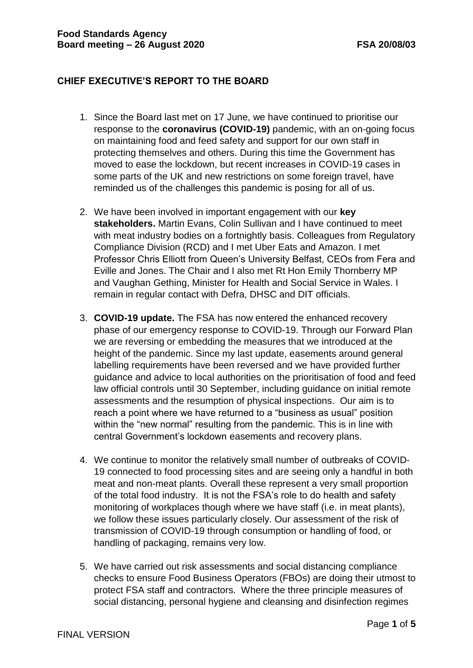# **CHIEF EXECUTIVE'S REPORT TO THE BOARD**

- 1. Since the Board last met on 17 June, we have continued to prioritise our response to the **coronavirus (COVID-19)** pandemic, with an on-going focus on maintaining food and feed safety and support for our own staff in protecting themselves and others. During this time the Government has moved to ease the lockdown, but recent increases in COVID-19 cases in some parts of the UK and new restrictions on some foreign travel, have reminded us of the challenges this pandemic is posing for all of us.
- 2. We have been involved in important engagement with our **key stakeholders.** Martin Evans, Colin Sullivan and I have continued to meet with meat industry bodies on a fortnightly basis. Colleagues from Regulatory Compliance Division (RCD) and I met Uber Eats and Amazon. I met Professor Chris Elliott from Queen's University Belfast, CEOs from Fera and Eville and Jones. The Chair and I also met Rt Hon Emily Thornberry MP and Vaughan Gething, Minister for Health and Social Service in Wales. I remain in regular contact with Defra, DHSC and DIT officials.
- 3. **COVID-19 update.** The FSA has now entered the enhanced recovery phase of our emergency response to COVID-19. Through our Forward Plan we are reversing or embedding the measures that we introduced at the height of the pandemic. Since my last update, easements around general labelling requirements have been reversed and we have provided further guidance and advice to local authorities on the prioritisation of food and feed law official controls until 30 September, including guidance on initial remote assessments and the resumption of physical inspections. Our aim is to reach a point where we have returned to a "business as usual" position within the "new normal" resulting from the pandemic. This is in line with central Government's lockdown easements and recovery plans.
- 4. We continue to monitor the relatively small number of outbreaks of COVID-19 connected to food processing sites and are seeing only a handful in both meat and non-meat plants. Overall these represent a very small proportion of the total food industry. It is not the FSA's role to do health and safety monitoring of workplaces though where we have staff (i.e. in meat plants), we follow these issues particularly closely. Our assessment of the risk of transmission of COVID-19 through consumption or handling of food, or handling of packaging, remains very low.
- 5. We have carried out risk assessments and social distancing compliance checks to ensure Food Business Operators (FBOs) are doing their utmost to protect FSA staff and contractors. Where the three principle measures of social distancing, personal hygiene and cleansing and disinfection regimes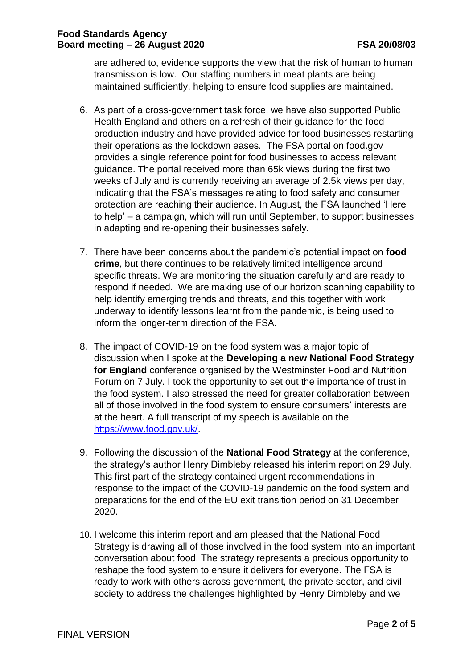are adhered to, evidence supports the view that the risk of human to human transmission is low. Our staffing numbers in meat plants are being maintained sufficiently, helping to ensure food supplies are maintained.

- 6. As part of a cross-government task force, we have also supported Public Health England and others on a refresh of their guidance for the food production industry and have provided advice for food businesses restarting their operations as the lockdown eases. The FSA portal on food.gov provides a single reference point for food businesses to access relevant guidance. The portal received more than 65k views during the first two weeks of July and is currently receiving an average of 2.5k views per day, indicating that the FSA's messages relating to food safety and consumer protection are reaching their audience. In August, the FSA launched 'Here to help' – a campaign, which will run until September, to support businesses in adapting and re-opening their businesses safely.
- 7. There have been concerns about the pandemic's potential impact on **food crime**, but there continues to be relatively limited intelligence around specific threats. We are monitoring the situation carefully and are ready to respond if needed. We are making use of our horizon scanning capability to help identify emerging trends and threats, and this together with work underway to identify lessons learnt from the pandemic, is being used to inform the longer-term direction of the FSA.
- 8. The impact of COVID-19 on the food system was a major topic of discussion when I spoke at the **Developing a new National Food Strategy for England** conference organised by the Westminster Food and Nutrition Forum on 7 July. I took the opportunity to set out the importance of trust in the food system. I also stressed the need for greater collaboration between all of those involved in the food system to ensure consumers' interests are at the heart. A full transcript of my speech is available on the [https://www.food.gov.uk/.](https://www.food.gov.uk/)
- 9. Following the discussion of the **National Food Strategy** at the conference, the strategy's author Henry Dimbleby released his interim report on 29 July. This first part of the strategy contained urgent recommendations in response to the impact of the COVID-19 pandemic on the food system and preparations for the end of the EU exit transition period on 31 December 2020.
- 10. I welcome this interim report and am pleased that the National Food Strategy is drawing all of those involved in the food system into an important conversation about food. The strategy represents a precious opportunity to reshape the food system to ensure it delivers for everyone. The FSA is ready to work with others across government, the private sector, and civil society to address the challenges highlighted by Henry Dimbleby and we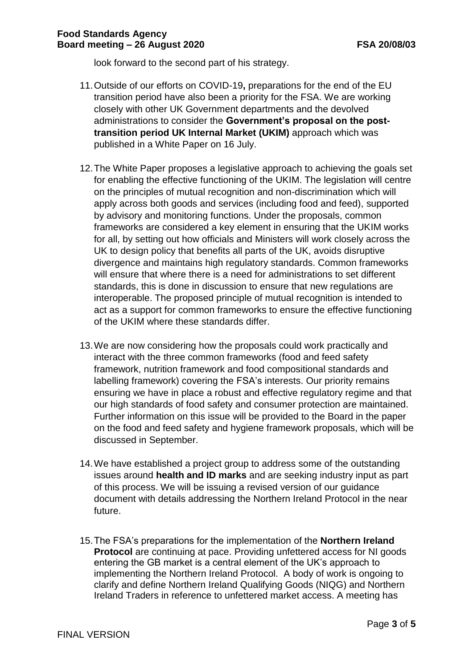look forward to the second part of his strategy.

- 11.Outside of our efforts on COVID-19**,** preparations for the end of the EU transition period have also been a priority for the FSA. We are working closely with other UK Government departments and the devolved administrations to consider the **Government's proposal on the posttransition period UK Internal Market (UKIM)** approach which was published in a White Paper on 16 July.
- 12.The White Paper proposes a legislative approach to achieving the goals set for enabling the effective functioning of the UKIM. The legislation will centre on the principles of mutual recognition and non-discrimination which will apply across both goods and services (including food and feed), supported by advisory and monitoring functions. Under the proposals, common frameworks are considered a key element in ensuring that the UKIM works for all, by setting out how officials and Ministers will work closely across the UK to design policy that benefits all parts of the UK, avoids disruptive divergence and maintains high regulatory standards. Common frameworks will ensure that where there is a need for administrations to set different standards, this is done in discussion to ensure that new regulations are interoperable. The proposed principle of mutual recognition is intended to act as a support for common frameworks to ensure the effective functioning of the UKIM where these standards differ.
- 13.We are now considering how the proposals could work practically and interact with the three common frameworks (food and feed safety framework, nutrition framework and food compositional standards and labelling framework) covering the FSA's interests. Our priority remains ensuring we have in place a robust and effective regulatory regime and that our high standards of food safety and consumer protection are maintained. Further information on this issue will be provided to the Board in the paper on the food and feed safety and hygiene framework proposals, which will be discussed in September.
- 14.We have established a project group to address some of the outstanding issues around **health and ID marks** and are seeking industry input as part of this process. We will be issuing a revised version of our guidance document with details addressing the Northern Ireland Protocol in the near future.
- 15.The FSA's preparations for the implementation of the **Northern Ireland Protocol** are continuing at pace. Providing unfettered access for NI goods entering the GB market is a central element of the UK's approach to implementing the Northern Ireland Protocol. A body of work is ongoing to clarify and define Northern Ireland Qualifying Goods (NIQG) and Northern Ireland Traders in reference to unfettered market access. A meeting has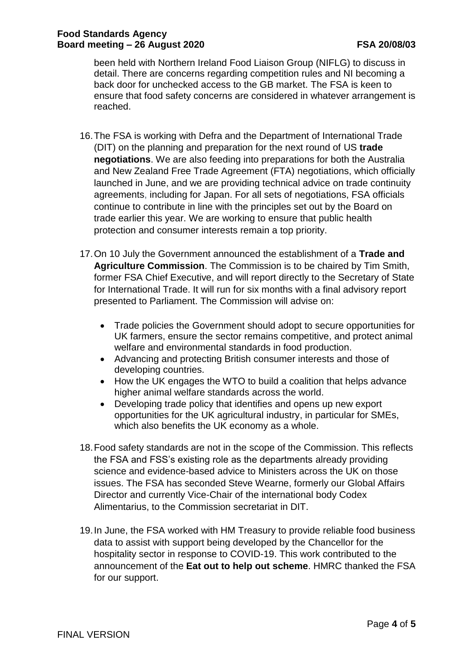been held with Northern Ireland Food Liaison Group (NIFLG) to discuss in detail. There are concerns regarding competition rules and NI becoming a back door for unchecked access to the GB market. The FSA is keen to ensure that food safety concerns are considered in whatever arrangement is reached.

- 16.The FSA is working with Defra and the Department of International Trade (DIT) on the planning and preparation for the next round of US **trade negotiations**. We are also feeding into preparations for both the Australia and New Zealand Free Trade Agreement (FTA) negotiations, which officially launched in June, and we are providing technical advice on trade continuity agreements, including for Japan. For all sets of negotiations, FSA officials continue to contribute in line with the principles set out by the Board on trade earlier this year. We are working to ensure that public health protection and consumer interests remain a top priority.
- 17.On 10 July the Government announced the establishment of a **Trade and Agriculture Commission**. The Commission is to be chaired by Tim Smith, former FSA Chief Executive, and will report directly to the Secretary of State for International Trade. It will run for six months with a final advisory report presented to Parliament. The Commission will advise on:
	- Trade policies the Government should adopt to secure opportunities for UK farmers, ensure the sector remains competitive, and protect animal welfare and environmental standards in food production.
	- Advancing and protecting British consumer interests and those of developing countries.
	- How the UK engages the WTO to build a coalition that helps advance higher animal welfare standards across the world.
	- Developing trade policy that identifies and opens up new export opportunities for the UK agricultural industry, in particular for SMEs, which also benefits the UK economy as a whole.
- 18.Food safety standards are not in the scope of the Commission. This reflects the FSA and FSS's existing role as the departments already providing science and evidence-based advice to Ministers across the UK on those issues. The FSA has seconded Steve Wearne, formerly our Global Affairs Director and currently Vice-Chair of the international body Codex Alimentarius, to the Commission secretariat in DIT.
- 19.In June, the FSA worked with HM Treasury to provide reliable food business data to assist with support being developed by the Chancellor for the hospitality sector in response to COVID-19. This work contributed to the announcement of the **Eat out to help out scheme**. HMRC thanked the FSA for our support.